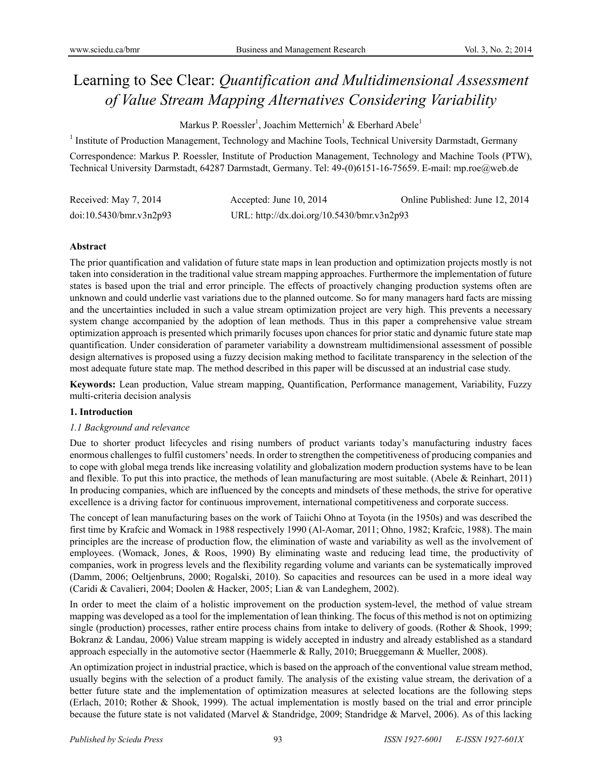# Learning to See Clear: *Quantification and Multidimensional Assessment of Value Stream Mapping Alternatives Considering Variability*

Markus P. Roessler<sup>1</sup>, Joachim Metternich<sup>1</sup> & Eberhard Abele<sup>1</sup>

<sup>1</sup> Institute of Production Management, Technology and Machine Tools, Technical University Darmstadt, Germany

Correspondence: Markus P. Roessler, Institute of Production Management, Technology and Machine Tools (PTW), Technical University Darmstadt, 64287 Darmstadt, Germany. Tel: 49-(0)6151-16-75659. E-mail: mp.roe@web.de

| Received: May 7, 2014   | Accepted: June $10, 2014$                  | Online Published: June 12, 2014 |
|-------------------------|--------------------------------------------|---------------------------------|
| doi:10.5430/bmr.v3n2p93 | URL: http://dx.doi.org/10.5430/bmr.v3n2p93 |                                 |

# **Abstract**

The prior quantification and validation of future state maps in lean production and optimization projects mostly is not taken into consideration in the traditional value stream mapping approaches. Furthermore the implementation of future states is based upon the trial and error principle. The effects of proactively changing production systems often are unknown and could underlie vast variations due to the planned outcome. So for many managers hard facts are missing and the uncertainties included in such a value stream optimization project are very high. This prevents a necessary system change accompanied by the adoption of lean methods. Thus in this paper a comprehensive value stream optimization approach is presented which primarily focuses upon chances for prior static and dynamic future state map quantification. Under consideration of parameter variability a downstream multidimensional assessment of possible design alternatives is proposed using a fuzzy decision making method to facilitate transparency in the selection of the most adequate future state map. The method described in this paper will be discussed at an industrial case study.

**Keywords:** Lean production, Value stream mapping, Quantification, Performance management, Variability, Fuzzy multi-criteria decision analysis

# **1. Introduction**

# *1.1 Background and relevance*

Due to shorter product lifecycles and rising numbers of product variants today's manufacturing industry faces enormous challenges to fulfil customers' needs. In order to strengthen the competitiveness of producing companies and to cope with global mega trends like increasing volatility and globalization modern production systems have to be lean and flexible. To put this into practice, the methods of lean manufacturing are most suitable. (Abele & Reinhart, 2011) In producing companies, which are influenced by the concepts and mindsets of these methods, the strive for operative excellence is a driving factor for continuous improvement, international competitiveness and corporate success.

The concept of lean manufacturing bases on the work of Taiichi Ohno at Toyota (in the 1950s) and was described the first time by Krafcic and Womack in 1988 respectively 1990 (Al-Aomar, 2011; Ohno, 1982; Krafcic, 1988). The main principles are the increase of production flow, the elimination of waste and variability as well as the involvement of employees. (Womack, Jones, & Roos, 1990) By eliminating waste and reducing lead time, the productivity of companies, work in progress levels and the flexibility regarding volume and variants can be systematically improved (Damm, 2006; Oeltjenbruns, 2000; Rogalski, 2010). So capacities and resources can be used in a more ideal way (Caridi & Cavalieri, 2004; Doolen & Hacker, 2005; Lian & van Landeghem, 2002).

In order to meet the claim of a holistic improvement on the production system-level, the method of value stream mapping was developed as a tool for the implementation of lean thinking. The focus of this method is not on optimizing single (production) processes, rather entire process chains from intake to delivery of goods. (Rother & Shook, 1999; Bokranz & Landau, 2006) Value stream mapping is widely accepted in industry and already established as a standard approach especially in the automotive sector (Haemmerle & Rally, 2010; Brueggemann & Mueller, 2008).

An optimization project in industrial practice, which is based on the approach of the conventional value stream method, usually begins with the selection of a product family. The analysis of the existing value stream, the derivation of a better future state and the implementation of optimization measures at selected locations are the following steps (Erlach, 2010; Rother & Shook, 1999). The actual implementation is mostly based on the trial and error principle because the future state is not validated (Marvel & Standridge, 2009; Standridge & Marvel, 2006). As of this lacking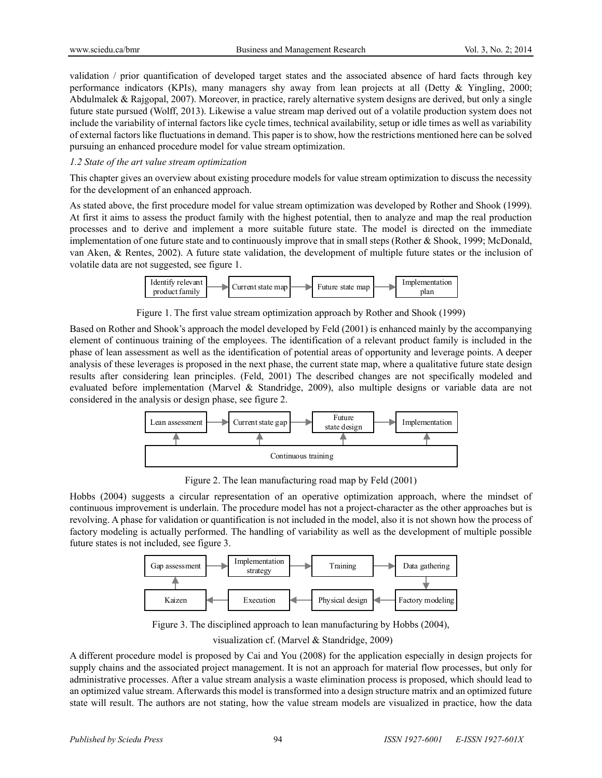validation / prior quantification of developed target states and the associated absence of hard facts through key performance indicators (KPIs), many managers shy away from lean projects at all (Detty & Yingling, 2000; Abdulmalek & Rajgopal, 2007). Moreover, in practice, rarely alternative system designs are derived, but only a single future state pursued (Wolff, 2013). Likewise a value stream map derived out of a volatile production system does not include the variability of internal factors like cycle times, technical availability, setup or idle times as well as variability of external factors like fluctuations in demand. This paper is to show, how the restrictions mentioned here can be solved pursuing an enhanced procedure model for value stream optimization.

# *1.2 State of the art value stream optimization*

This chapter gives an overview about existing procedure models for value stream optimization to discuss the necessity for the development of an enhanced approach.

As stated above, the first procedure model for value stream optimization was developed by Rother and Shook (1999). At first it aims to assess the product family with the highest potential, then to analyze and map the real production processes and to derive and implement a more suitable future state. The model is directed on the immediate implementation of one future state and to continuously improve that in small steps (Rother & Shook, 1999; McDonald, van Aken, & Rentes, 2002). A future state validation, the development of multiple future states or the inclusion of volatile data are not suggested, see figure 1.



Figure 1. The first value stream optimization approach by Rother and Shook (1999)

Based on Rother and Shook's approach the model developed by Feld (2001) is enhanced mainly by the accompanying element of continuous training of the employees. The identification of a relevant product family is included in the phase of lean assessment as well as the identification of potential areas of opportunity and leverage points. A deeper analysis of these leverages is proposed in the next phase, the current state map, where a qualitative future state design results after considering lean principles. (Feld, 2001) The described changes are not specifically modeled and evaluated before implementation (Marvel & Standridge, 2009), also multiple designs or variable data are not considered in the analysis or design phase, see figure 2.



Figure 2. The lean manufacturing road map by Feld (2001)

Hobbs (2004) suggests a circular representation of an operative optimization approach, where the mindset of continuous improvement is underlain. The procedure model has not a project-character as the other approaches but is revolving. A phase for validation or quantification is not included in the model, also it is not shown how the process of factory modeling is actually performed. The handling of variability as well as the development of multiple possible future states is not included, see figure 3.



Figure 3. The disciplined approach to lean manufacturing by Hobbs (2004),

visualization cf. (Marvel & Standridge, 2009)

A different procedure model is proposed by Cai and You (2008) for the application especially in design projects for supply chains and the associated project management. It is not an approach for material flow processes, but only for administrative processes. After a value stream analysis a waste elimination process is proposed, which should lead to an optimized value stream. Afterwards this model is transformed into a design structure matrix and an optimized future state will result. The authors are not stating, how the value stream models are visualized in practice, how the data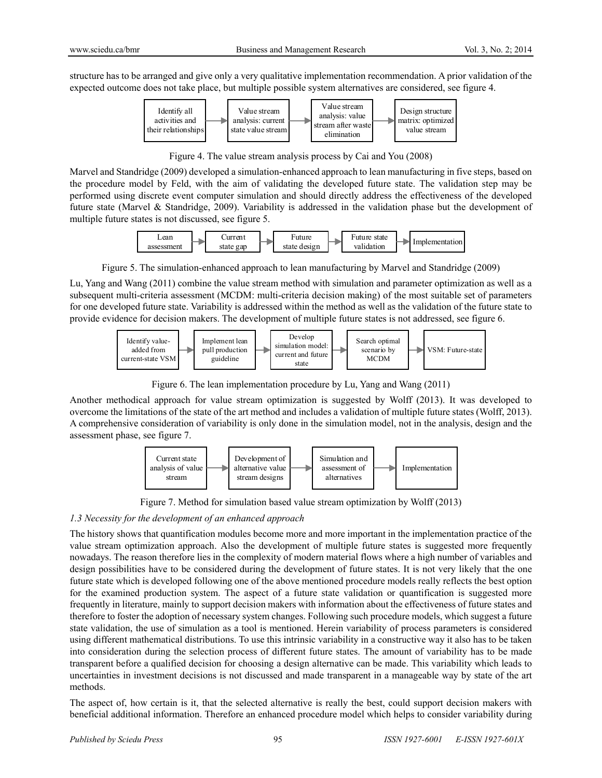structure has to be arranged and give only a very qualitative implementation recommendation. A prior validation of the expected outcome does not take place, but multiple possible system alternatives are considered, see figure 4.



Figure 4. The value stream analysis process by Cai and You (2008)

Marvel and Standridge (2009) developed a simulation-enhanced approach to lean manufacturing in five steps, based on the procedure model by Feld, with the aim of validating the developed future state. The validation step may be performed using discrete event computer simulation and should directly address the effectiveness of the developed future state (Marvel & Standridge, 2009). Variability is addressed in the validation phase but the development of multiple future states is not discussed, see figure 5.



Figure 5. The simulation-enhanced approach to lean manufacturing by Marvel and Standridge (2009)

Lu, Yang and Wang (2011) combine the value stream method with simulation and parameter optimization as well as a subsequent multi-criteria assessment (MCDM: multi-criteria decision making) of the most suitable set of parameters for one developed future state. Variability is addressed within the method as well as the validation of the future state to provide evidence for decision makers. The development of multiple future states is not addressed, see figure 6.



Figure 6. The lean implementation procedure by Lu, Yang and Wang (2011)

Another methodical approach for value stream optimization is suggested by Wolff (2013). It was developed to overcome the limitations of the state of the art method and includes a validation of multiple future states (Wolff, 2013). A comprehensive consideration of variability is only done in the simulation model, not in the analysis, design and the assessment phase, see figure 7.



Figure 7. Method for simulation based value stream optimization by Wolff (2013)

# *1.3 Necessity for the development of an enhanced approach*

The history shows that quantification modules become more and more important in the implementation practice of the value stream optimization approach. Also the development of multiple future states is suggested more frequently nowadays. The reason therefore lies in the complexity of modern material flows where a high number of variables and design possibilities have to be considered during the development of future states. It is not very likely that the one future state which is developed following one of the above mentioned procedure models really reflects the best option for the examined production system. The aspect of a future state validation or quantification is suggested more frequently in literature, mainly to support decision makers with information about the effectiveness of future states and therefore to foster the adoption of necessary system changes. Following such procedure models, which suggest a future state validation, the use of simulation as a tool is mentioned. Herein variability of process parameters is considered using different mathematical distributions. To use this intrinsic variability in a constructive way it also has to be taken into consideration during the selection process of different future states. The amount of variability has to be made transparent before a qualified decision for choosing a design alternative can be made. This variability which leads to uncertainties in investment decisions is not discussed and made transparent in a manageable way by state of the art methods.

The aspect of, how certain is it, that the selected alternative is really the best, could support decision makers with beneficial additional information. Therefore an enhanced procedure model which helps to consider variability during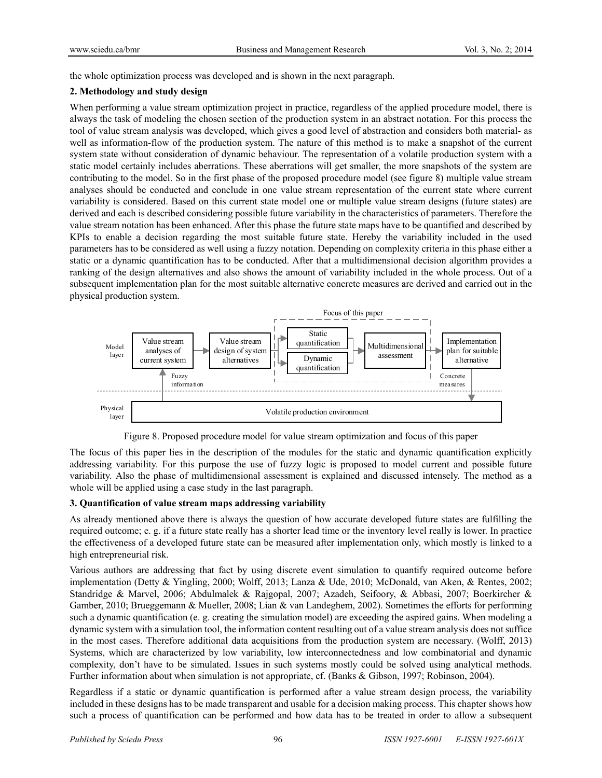the whole optimization process was developed and is shown in the next paragraph.

# **2. Methodology and study design**

When performing a value stream optimization project in practice, regardless of the applied procedure model, there is always the task of modeling the chosen section of the production system in an abstract notation. For this process the tool of value stream analysis was developed, which gives a good level of abstraction and considers both material- as well as information-flow of the production system. The nature of this method is to make a snapshot of the current system state without consideration of dynamic behaviour. The representation of a volatile production system with a static model certainly includes aberrations. These aberrations will get smaller, the more snapshots of the system are contributing to the model. So in the first phase of the proposed procedure model (see figure 8) multiple value stream analyses should be conducted and conclude in one value stream representation of the current state where current variability is considered. Based on this current state model one or multiple value stream designs (future states) are derived and each is described considering possible future variability in the characteristics of parameters. Therefore the value stream notation has been enhanced. After this phase the future state maps have to be quantified and described by KPIs to enable a decision regarding the most suitable future state. Hereby the variability included in the used parameters has to be considered as well using a fuzzy notation. Depending on complexity criteria in this phase either a static or a dynamic quantification has to be conducted. After that a multidimensional decision algorithm provides a ranking of the design alternatives and also shows the amount of variability included in the whole process. Out of a subsequent implementation plan for the most suitable alternative concrete measures are derived and carried out in the physical production system.



Figure 8. Proposed procedure model for value stream optimization and focus of this paper

The focus of this paper lies in the description of the modules for the static and dynamic quantification explicitly addressing variability. For this purpose the use of fuzzy logic is proposed to model current and possible future variability. Also the phase of multidimensional assessment is explained and discussed intensely. The method as a whole will be applied using a case study in the last paragraph.

# **3. Quantification of value stream maps addressing variability**

As already mentioned above there is always the question of how accurate developed future states are fulfilling the required outcome; e. g. if a future state really has a shorter lead time or the inventory level really is lower. In practice the effectiveness of a developed future state can be measured after implementation only, which mostly is linked to a high entrepreneurial risk.

Various authors are addressing that fact by using discrete event simulation to quantify required outcome before implementation (Detty & Yingling, 2000; Wolff, 2013; Lanza & Ude, 2010; McDonald, van Aken, & Rentes, 2002; Standridge & Marvel, 2006; Abdulmalek & Rajgopal, 2007; Azadeh, Seifoory, & Abbasi, 2007; Boerkircher & Gamber, 2010; Brueggemann & Mueller, 2008; Lian & van Landeghem, 2002). Sometimes the efforts for performing such a dynamic quantification (e. g. creating the simulation model) are exceeding the aspired gains. When modeling a dynamic system with a simulation tool, the information content resulting out of a value stream analysis does not suffice in the most cases. Therefore additional data acquisitions from the production system are necessary. (Wolff, 2013) Systems, which are characterized by low variability, low interconnectedness and low combinatorial and dynamic complexity, don't have to be simulated. Issues in such systems mostly could be solved using analytical methods. Further information about when simulation is not appropriate, cf. (Banks & Gibson, 1997; Robinson, 2004).

Regardless if a static or dynamic quantification is performed after a value stream design process, the variability included in these designs has to be made transparent and usable for a decision making process. This chapter shows how such a process of quantification can be performed and how data has to be treated in order to allow a subsequent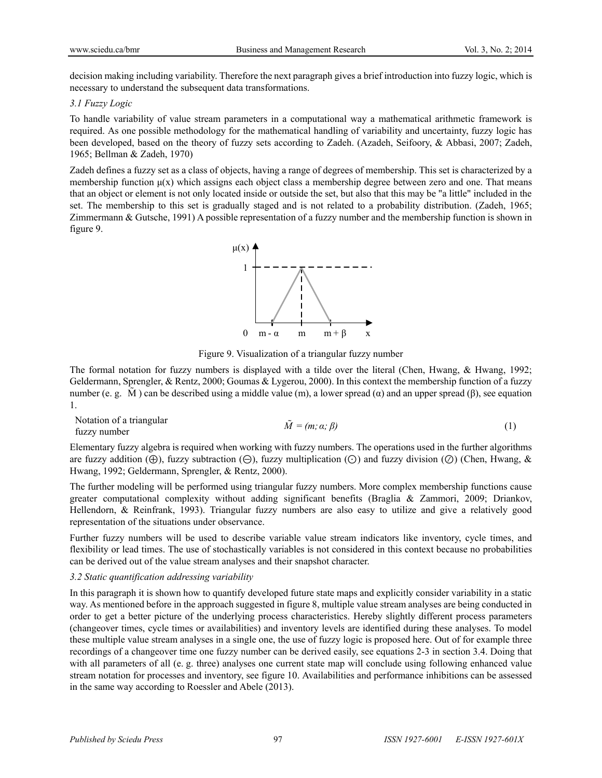decision making including variability. Therefore the next paragraph gives a brief introduction into fuzzy logic, which is necessary to understand the subsequent data transformations.

## *3.1 Fuzzy Logic*

To handle variability of value stream parameters in a computational way a mathematical arithmetic framework is required. As one possible methodology for the mathematical handling of variability and uncertainty, fuzzy logic has been developed, based on the theory of fuzzy sets according to Zadeh. (Azadeh, Seifoory, & Abbasi, 2007; Zadeh, 1965; Bellman & Zadeh, 1970)

Zadeh defines a fuzzy set as a class of objects, having a range of degrees of membership. This set is characterized by a membership function  $\mu(x)$  which assigns each object class a membership degree between zero and one. That means that an object or element is not only located inside or outside the set, but also that this may be "a little" included in the set. The membership to this set is gradually staged and is not related to a probability distribution. (Zadeh, 1965; Zimmermann & Gutsche, 1991) A possible representation of a fuzzy number and the membership function is shown in figure 9.



Figure 9. Visualization of a triangular fuzzy number

The formal notation for fuzzy numbers is displayed with a tilde over the literal (Chen, Hwang, & Hwang, 1992; Geldermann, Sprengler, & Rentz, 2000; Goumas & Lygerou, 2000). In this context the membership function of a fuzzy number (e. g.  $\tilde{M}$ ) can be described using a middle value (m), a lower spread ( $\alpha$ ) and an upper spread ( $\beta$ ), see equation 1.

Notation of a triangular fuzzy number *M = (m,*  $\alpha$ *,*  $\beta$ *)* (1)

Elementary fuzzy algebra is required when working with fuzzy numbers. The operations used in the further algorithms are fuzzy addition  $(\oplus)$ , fuzzy subtraction  $(\ominus)$ , fuzzy multiplication  $(\odot)$  and fuzzy division  $(\oslash)$  (Chen, Hwang, & Hwang, 1992; Geldermann, Sprengler, & Rentz, 2000).

The further modeling will be performed using triangular fuzzy numbers. More complex membership functions cause greater computational complexity without adding significant benefits (Braglia & Zammori, 2009; Driankov, Hellendorn, & Reinfrank, 1993). Triangular fuzzy numbers are also easy to utilize and give a relatively good representation of the situations under observance.

Further fuzzy numbers will be used to describe variable value stream indicators like inventory, cycle times, and flexibility or lead times. The use of stochastically variables is not considered in this context because no probabilities can be derived out of the value stream analyses and their snapshot character.

# *3.2 Static quantification addressing variability*

In this paragraph it is shown how to quantify developed future state maps and explicitly consider variability in a static way. As mentioned before in the approach suggested in figure 8, multiple value stream analyses are being conducted in order to get a better picture of the underlying process characteristics. Hereby slightly different process parameters (changeover times, cycle times or availabilities) and inventory levels are identified during these analyses. To model these multiple value stream analyses in a single one, the use of fuzzy logic is proposed here. Out of for example three recordings of a changeover time one fuzzy number can be derived easily, see equations 2-3 in section 3.4. Doing that with all parameters of all (e. g. three) analyses one current state map will conclude using following enhanced value stream notation for processes and inventory, see figure 10. Availabilities and performance inhibitions can be assessed in the same way according to Roessler and Abele (2013).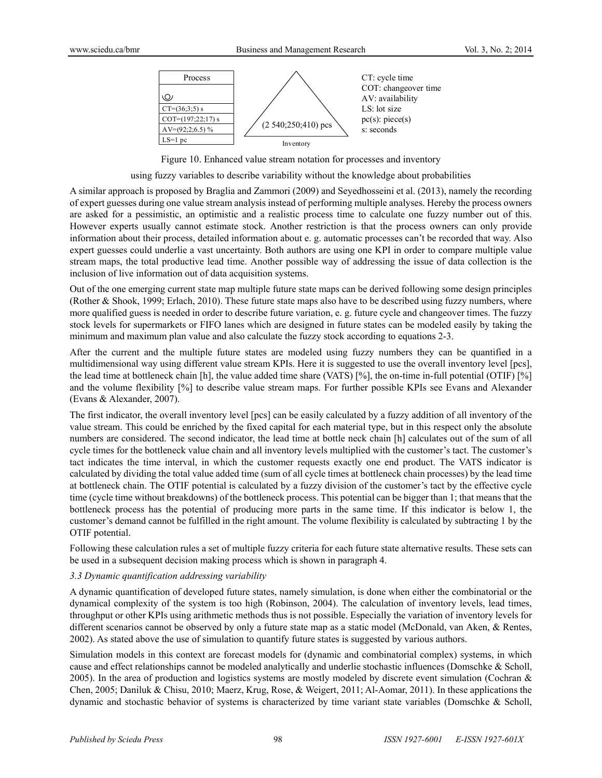

Figure 10. Enhanced value stream notation for processes and inventory

using fuzzy variables to describe variability without the knowledge about probabilities

A similar approach is proposed by Braglia and Zammori (2009) and Seyedhosseini et al. (2013), namely the recording of expert guesses during one value stream analysis instead of performing multiple analyses. Hereby the process owners are asked for a pessimistic, an optimistic and a realistic process time to calculate one fuzzy number out of this. However experts usually cannot estimate stock. Another restriction is that the process owners can only provide information about their process, detailed information about e. g. automatic processes can't be recorded that way. Also expert guesses could underlie a vast uncertainty. Both authors are using one KPI in order to compare multiple value stream maps, the total productive lead time. Another possible way of addressing the issue of data collection is the inclusion of live information out of data acquisition systems.

Out of the one emerging current state map multiple future state maps can be derived following some design principles (Rother & Shook, 1999; Erlach, 2010). These future state maps also have to be described using fuzzy numbers, where more qualified guess is needed in order to describe future variation, e. g. future cycle and changeover times. The fuzzy stock levels for supermarkets or FIFO lanes which are designed in future states can be modeled easily by taking the minimum and maximum plan value and also calculate the fuzzy stock according to equations 2-3.

After the current and the multiple future states are modeled using fuzzy numbers they can be quantified in a multidimensional way using different value stream KPIs. Here it is suggested to use the overall inventory level [pcs], the lead time at bottleneck chain [h], the value added time share (VATS) [%], the on-time in-full potential (OTIF) [%] and the volume flexibility [%] to describe value stream maps. For further possible KPIs see Evans and Alexander (Evans & Alexander, 2007).

The first indicator, the overall inventory level [pcs] can be easily calculated by a fuzzy addition of all inventory of the value stream. This could be enriched by the fixed capital for each material type, but in this respect only the absolute numbers are considered. The second indicator, the lead time at bottle neck chain [h] calculates out of the sum of all cycle times for the bottleneck value chain and all inventory levels multiplied with the customer's tact. The customer's tact indicates the time interval, in which the customer requests exactly one end product. The VATS indicator is calculated by dividing the total value added time (sum of all cycle times at bottleneck chain processes) by the lead time at bottleneck chain. The OTIF potential is calculated by a fuzzy division of the customer's tact by the effective cycle time (cycle time without breakdowns) of the bottleneck process. This potential can be bigger than 1; that means that the bottleneck process has the potential of producing more parts in the same time. If this indicator is below 1, the customer's demand cannot be fulfilled in the right amount. The volume flexibility is calculated by subtracting 1 by the OTIF potential.

Following these calculation rules a set of multiple fuzzy criteria for each future state alternative results. These sets can be used in a subsequent decision making process which is shown in paragraph 4.

# *3.3 Dynamic quantification addressing variability*

A dynamic quantification of developed future states, namely simulation, is done when either the combinatorial or the dynamical complexity of the system is too high (Robinson, 2004). The calculation of inventory levels, lead times, throughput or other KPIs using arithmetic methods thus is not possible. Especially the variation of inventory levels for different scenarios cannot be observed by only a future state map as a static model (McDonald, van Aken, & Rentes, 2002). As stated above the use of simulation to quantify future states is suggested by various authors.

Simulation models in this context are forecast models for (dynamic and combinatorial complex) systems, in which cause and effect relationships cannot be modeled analytically and underlie stochastic influences (Domschke & Scholl, 2005). In the area of production and logistics systems are mostly modeled by discrete event simulation (Cochran  $\&$ Chen, 2005; Daniluk & Chisu, 2010; Maerz, Krug, Rose, & Weigert, 2011; Al-Aomar, 2011). In these applications the dynamic and stochastic behavior of systems is characterized by time variant state variables (Domschke & Scholl,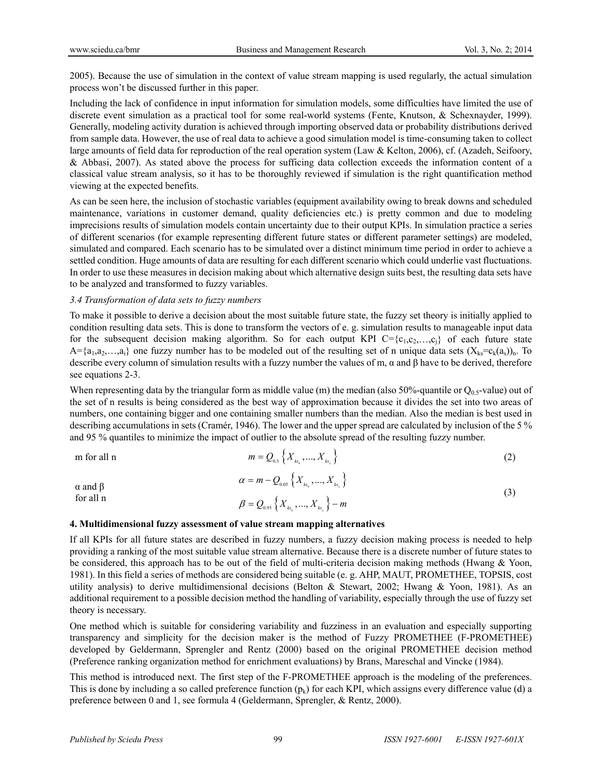2005). Because the use of simulation in the context of value stream mapping is used regularly, the actual simulation process won't be discussed further in this paper.

Including the lack of confidence in input information for simulation models, some difficulties have limited the use of discrete event simulation as a practical tool for some real-world systems (Fente, Knutson, & Schexnayder, 1999). Generally, modeling activity duration is achieved through importing observed data or probability distributions derived from sample data. However, the use of real data to achieve a good simulation model is time-consuming taken to collect large amounts of field data for reproduction of the real operation system (Law & Kelton, 2006), cf. (Azadeh, Seifoory, & Abbasi, 2007). As stated above the process for sufficing data collection exceeds the information content of a classical value stream analysis, so it has to be thoroughly reviewed if simulation is the right quantification method viewing at the expected benefits.

As can be seen here, the inclusion of stochastic variables (equipment availability owing to break downs and scheduled maintenance, variations in customer demand, quality deficiencies etc.) is pretty common and due to modeling imprecisions results of simulation models contain uncertainty due to their output KPIs. In simulation practice a series of different scenarios (for example representing different future states or different parameter settings) are modeled, simulated and compared. Each scenario has to be simulated over a distinct minimum time period in order to achieve a settled condition. Huge amounts of data are resulting for each different scenario which could underlie vast fluctuations. In order to use these measures in decision making about which alternative design suits best, the resulting data sets have to be analyzed and transformed to fuzzy variables.

#### *3.4 Transformation of data sets to fuzzy numbers*

To make it possible to derive a decision about the most suitable future state, the fuzzy set theory is initially applied to condition resulting data sets. This is done to transform the vectors of e. g. simulation results to manageable input data for the subsequent decision making algorithm. So for each output KPI  $C = \{c_1, c_2, \ldots, c_i\}$  of each future state  $A = \{a_1, a_2, \ldots, a_i\}$  one fuzzy number has to be modeled out of the resulting set of n unique data sets  $(X_{ks}=c_k(a_s))_n$ . To describe every column of simulation results with a fuzzy number the values of m,  $\alpha$  and  $\beta$  have to be derived, therefore see equations 2-3.

When representing data by the triangular form as middle value (m) the median (also 50%-quantile or  $Q_0$ <sub>5</sub>-value) out of the set of n results is being considered as the best way of approximation because it divides the set into two areas of numbers, one containing bigger and one containing smaller numbers than the median. Also the median is best used in describing accumulations in sets (Cramér, 1946). The lower and the upper spread are calculated by inclusion of the 5 % and 95 % quantiles to minimize the impact of outlier to the absolute spread of the resulting fuzzy number.

m for all n  
\n*m* = 
$$
Q_{0.5} \{X_{k_0}, ..., X_{k_n}\}\
$$
  
\nα and β  
\nfor all n  
\n
$$
\beta = Q_{0.95} \{X_{k_0}, ..., X_{k_n}\} - m
$$
\n(3)

#### **4. Multidimensional fuzzy assessment of value stream mapping alternatives**

If all KPIs for all future states are described in fuzzy numbers, a fuzzy decision making process is needed to help providing a ranking of the most suitable value stream alternative. Because there is a discrete number of future states to be considered, this approach has to be out of the field of multi-criteria decision making methods (Hwang & Yoon, 1981). In this field a series of methods are considered being suitable (e. g. AHP, MAUT, PROMETHEE, TOPSIS, cost utility analysis) to derive multidimensional decisions (Belton & Stewart, 2002; Hwang & Yoon, 1981). As an additional requirement to a possible decision method the handling of variability, especially through the use of fuzzy set theory is necessary.

One method which is suitable for considering variability and fuzziness in an evaluation and especially supporting transparency and simplicity for the decision maker is the method of Fuzzy PROMETHEE (F-PROMETHEE) developed by Geldermann, Sprengler and Rentz (2000) based on the original PROMETHEE decision method (Preference ranking organization method for enrichment evaluations) by Brans, Mareschal and Vincke (1984).

This method is introduced next. The first step of the F-PROMETHEE approach is the modeling of the preferences. This is done by including a so called preference function  $(p_k)$  for each KPI, which assigns every difference value (d) a preference between 0 and 1, see formula 4 (Geldermann, Sprengler, & Rentz, 2000).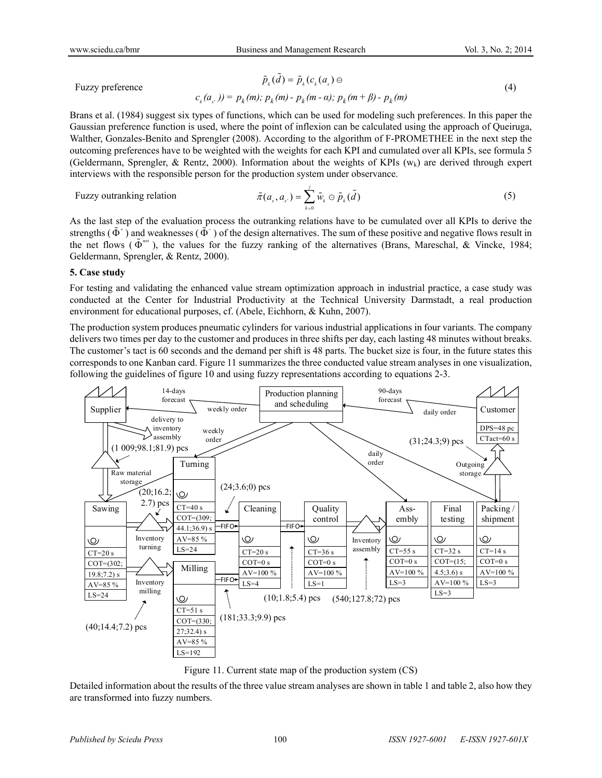Fuzzy preference

$$
\tilde{p}_k(d) = \tilde{p}_k(c_k(a_s) \ominus
$$
\n
$$
c_k(a_s \cdot l) = p_k(m); \ p_k(m) - p_k(m - a); \ p_k(m + \beta) - p_k(m)
$$
\n
$$
(4)
$$

Brans et al. (1984) suggest six types of functions, which can be used for modeling such preferences. In this paper the Gaussian preference function is used, where the point of inflexion can be calculated using the approach of Queiruga, Walther, Gonzales-Benito and Sprengler (2008). According to the algorithm of F-PROMETHEE in the next step the outcoming preferences have to be weighted with the weights for each KPI and cumulated over all KPIs, see formula 5 (Geldermann, Sprengler, & Rentz, 2000). Information about the weights of KPIs  $(w_k)$  are derived through expert interviews with the responsible person for the production system under observance.

Fuzzy outranking relation 
$$
\tilde{\pi}(a_s, a_s) = \sum_{k=0}^{j} \tilde{w}_k \odot \tilde{p}_k(\tilde{d})
$$
 (5)

As the last step of the evaluation process the outranking relations have to be cumulated over all KPIs to derive the strengths ( $\tilde{\Phi}^+$ ) and weaknesses ( $\tilde{\Phi}^-$ ) of the design alternatives. The sum of these positive and negative flows result in the net flows  $(\tilde{\Phi}^{net})$ , the values for the fuzzy ranking of the alternatives (Brans, Mareschal, & Vincke, 1984; Geldermann, Sprengler, & Rentz, 2000).

#### **5. Case study**

For testing and validating the enhanced value stream optimization approach in industrial practice, a case study was conducted at the Center for Industrial Productivity at the Technical University Darmstadt, a real production environment for educational purposes, cf. (Abele, Eichhorn, & Kuhn, 2007).

The production system produces pneumatic cylinders for various industrial applications in four variants. The company delivers two times per day to the customer and produces in three shifts per day, each lasting 48 minutes without breaks. The customer's tact is 60 seconds and the demand per shift is 48 parts. The bucket size is four, in the future states this corresponds to one Kanban card. Figure 11 summarizes the three conducted value stream analyses in one visualization, following the guidelines of figure 10 and using fuzzy representations according to equations 2-3.



Figure 11. Current state map of the production system (CS)

Detailed information about the results of the three value stream analyses are shown in table 1 and table 2, also how they are transformed into fuzzy numbers.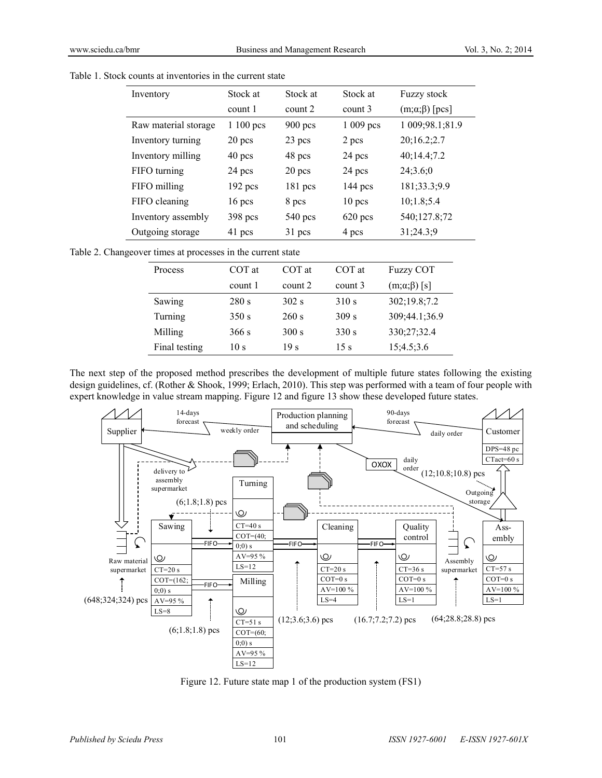| Inventory            | Stock at   | Stock at  | Stock at                  | <b>Fuzzy stock</b>       |
|----------------------|------------|-----------|---------------------------|--------------------------|
|                      | count 1    | count 2   | count 3                   | $(m;\alpha;\beta)$ [pcs] |
| Raw material storage | $1100$ pcs | $900$ pcs | $1009$ pcs                | 1 009;98.1;81.9          |
| Inventory turning    | 20 pcs     | 23 pcs    | 2 pcs                     | 20;16.2;2.7              |
| Inventory milling    | $40$ pcs   | 48 pcs    | 24 pcs                    | 40;14.4;7.2              |
| FIFO turning         | 24 pcs     | $20$ pcs  | 24 pcs                    | 24:3.6:0                 |
| FIFO milling         | $192$ pcs  | $181$ pcs | $144$ pcs                 | 181;33.3;9.9             |
| FIFO cleaning        | $16$ pcs   | 8 pcs     | $10$ pcs                  | 10; 1.8; 5.4             |
| Inventory assembly   | 398 pcs    | $540$ pcs | $620 \text{ } \text{pcs}$ | 540;127.8;72             |
| Outgoing storage     | 41 pcs     | 31 pcs    | 4 pcs                     | 31;24.3;9                |

Table 1. Stock counts at inventories in the current state

Table 2. Changeover times at processes in the current state

| <b>Process</b> | COT at          | COT at          | COT at  | <b>Fuzzy COT</b>       |
|----------------|-----------------|-----------------|---------|------------------------|
|                | count 1         | count 2         | count 3 | $(m;\alpha;\beta)$ [s] |
| Sawing         | 280 s           | 302 s           | 310 s   | 302;19.8;7.2           |
| Turning        | 350 s           | 260 s           | 309 s   | 309;44.1;36.9          |
| Milling        | 366 s           | 300 s           | 330 s   | 330;27;32.4            |
| Final testing  | 10 <sub>s</sub> | 19 <sub>s</sub> | 15 s    | 15:4.5:3.6             |

The next step of the proposed method prescribes the development of multiple future states following the existing design guidelines, cf. (Rother & Shook, 1999; Erlach, 2010). This step was performed with a team of four people with expert knowledge in value stream mapping. Figure 12 and figure 13 show these developed future states.



Figure 12. Future state map 1 of the production system (FS1)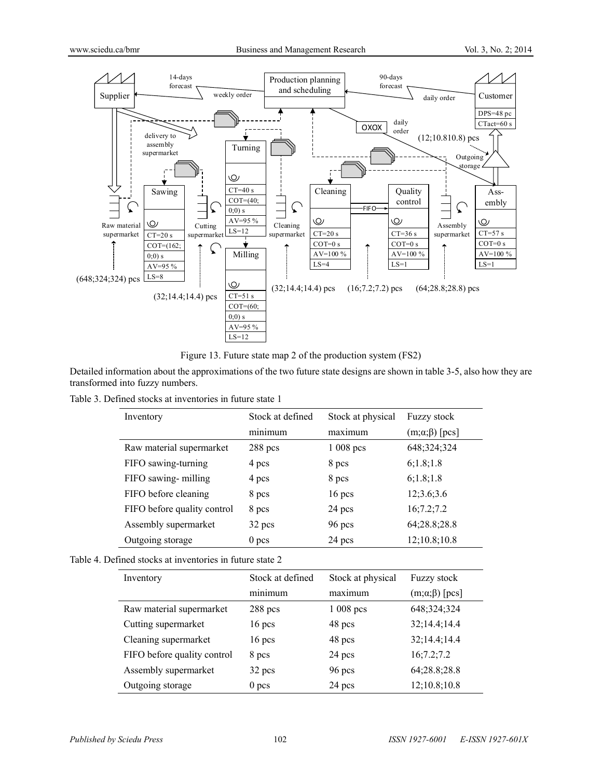

Figure 13. Future state map 2 of the production system (FS2)

Detailed information about the approximations of the two future state designs are shown in table 3-5, also how they are transformed into fuzzy numbers.

Table 3. Defined stocks at inventories in future state 1

| Inventory                   | Stock at defined | Stock at physical | <b>Fuzzy stock</b>       |
|-----------------------------|------------------|-------------------|--------------------------|
|                             | minimum          | maximum           | $(m;\alpha;\beta)$ [pcs] |
| Raw material supermarket    | $288$ pcs        | $1008$ pcs        | 648;324;324              |
| FIFO sawing-turning         | 4 pcs            | 8 pcs             | 6;1.8;1.8                |
| FIFO sawing-milling         | 4 pcs            | 8 pcs             | 6;1.8;1.8                |
| FIFO before cleaning        | 8 pcs            | $16$ pcs          | 12; 3.6; 3.6             |
| FIFO before quality control | 8 pcs            | 24 pcs            | 16;7.2;7.2               |
| Assembly supermarket        | 32 pcs           | 96 pcs            | 64;28.8;28.8             |
| Outgoing storage            | 0 <sub>pos</sub> | 24 pcs            | 12;10.8;10.8             |

Table 4. Defined stocks at inventories in future state 2

| Inventory                   | Stock at defined | Stock at physical | Fuzzy stock              |
|-----------------------------|------------------|-------------------|--------------------------|
|                             | minimum          | maximum           | $(m;\alpha;\beta)$ [pcs] |
| Raw material supermarket    | $288$ pcs        | $1008$ pcs        | 648;324;324              |
| Cutting supermarket         | $16$ pcs         | 48 pcs            | 32;14.4;14.4             |
| Cleaning supermarket        | $16$ pcs         | 48 pcs            | 32;14.4;14.4             |
| FIFO before quality control | 8 pcs            | 24 pcs            | 16;7.2;7.2               |
| Assembly supermarket        | 32 pcs           | 96 pcs            | 64;28.8;28.8             |
| Outgoing storage            | 0 <sub>pos</sub> | 24 pcs            | 12;10.8;10.8             |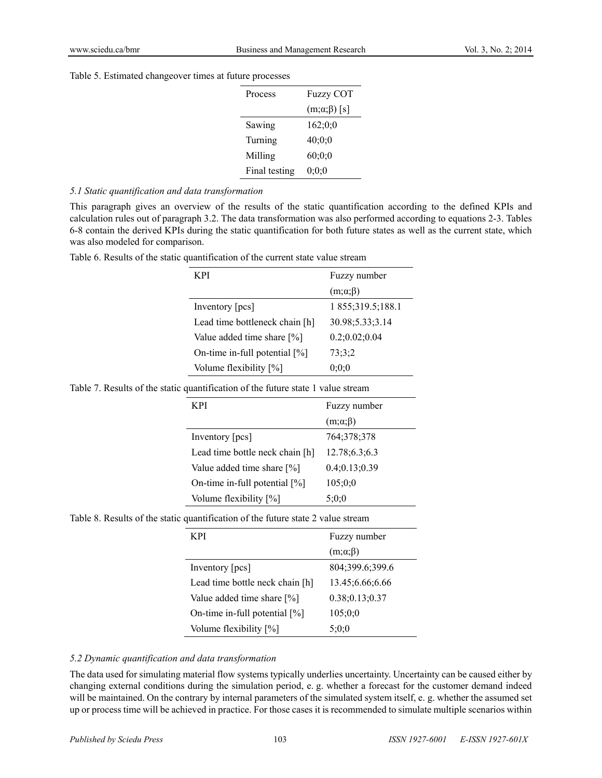## Table 5. Estimated changeover times at future processes

| Process       | <b>Fuzzy COT</b>       |
|---------------|------------------------|
|               | $(m;\alpha;\beta)$ [s] |
| Sawing        | 162;0;0                |
| Turning       | 40;0;0                 |
| Milling       | 60;0;0                 |
| Final testing | 0;0;0                  |

#### *5.1 Static quantification and data transformation*

This paragraph gives an overview of the results of the static quantification according to the defined KPIs and calculation rules out of paragraph 3.2. The data transformation was also performed according to equations 2-3. Tables 6-8 contain the derived KPIs during the static quantification for both future states as well as the current state, which was also modeled for comparison.

Table 6. Results of the static quantification of the current state value stream

| <b>KPI</b>                      | Fuzzy number       |
|---------------------------------|--------------------|
|                                 | $(m;\alpha;\beta)$ |
| Inventory [pcs]                 | 1 855;319.5;188.1  |
| Lead time bottleneck chain [h]  | 30.98;5.33;3.14    |
| Value added time share $[%]$    | 0.2; 0.02; 0.04    |
| On-time in-full potential $[%]$ | 73:3:2             |
| Volume flexibility [%]          | 0:0:0              |

Table 7. Results of the static quantification of the future state 1 value stream

| KPI                              | Fuzzy number       |
|----------------------------------|--------------------|
|                                  | $(m;\alpha;\beta)$ |
| Inventory [pcs]                  | 764;378;378        |
| Lead time bottle neck chain [h]  | 12.78;6.3;6.3      |
| Value added time share [%]       | 0.4; 0.13; 0.39    |
| On-time in-full potential $[\%]$ | 105;0;0            |
| Volume flexibility [%]           | 5:0:0              |

Table 8. Results of the static quantification of the future state 2 value stream

| <b>KPI</b>                      | Fuzzy number       |
|---------------------------------|--------------------|
|                                 | $(m;\alpha;\beta)$ |
| Inventory [pcs]                 | 804;399.6;399.6    |
| Lead time bottle neck chain [h] | 13.45;6.66;6.66    |
| Value added time share $[%]$    | 0.38; 0.13; 0.37   |
| On-time in-full potential $[%]$ | 105:0:0            |
| Volume flexibility $[\%]$       | 5:0:0              |

### *5.2 Dynamic quantification and data transformation*

The data used for simulating material flow systems typically underlies uncertainty. Uncertainty can be caused either by changing external conditions during the simulation period, e. g. whether a forecast for the customer demand indeed will be maintained. On the contrary by internal parameters of the simulated system itself, e. g. whether the assumed set up or process time will be achieved in practice. For those cases it is recommended to simulate multiple scenarios within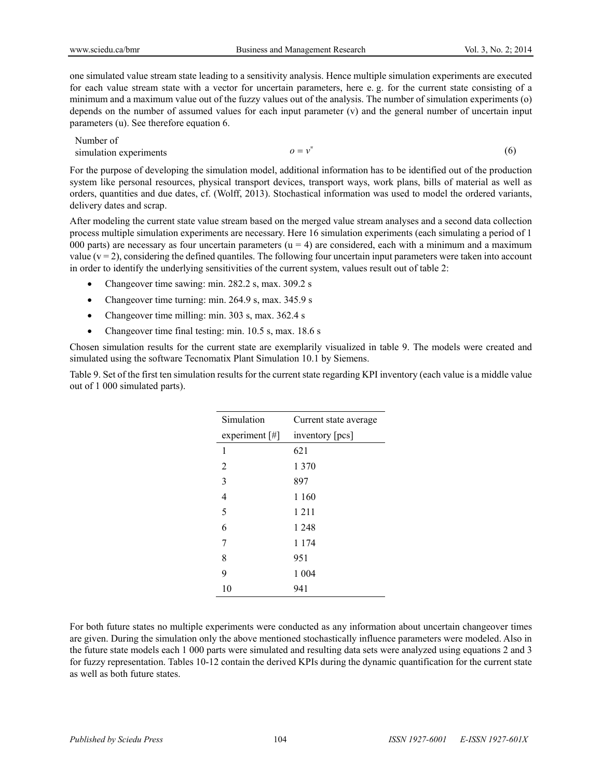one simulated value stream state leading to a sensitivity analysis. Hence multiple simulation experiments are executed for each value stream state with a vector for uncertain parameters, here e. g. for the current state consisting of a minimum and a maximum value out of the fuzzy values out of the analysis. The number of simulation experiments (o) depends on the number of assumed values for each input parameter (v) and the general number of uncertain input parameters (u). See therefore equation 6.

| Number of              |            |  |
|------------------------|------------|--|
| simulation experiments | $\rho = v$ |  |

For the purpose of developing the simulation model, additional information has to be identified out of the production system like personal resources, physical transport devices, transport ways, work plans, bills of material as well as orders, quantities and due dates, cf. (Wolff, 2013). Stochastical information was used to model the ordered variants, delivery dates and scrap.

After modeling the current state value stream based on the merged value stream analyses and a second data collection process multiple simulation experiments are necessary. Here 16 simulation experiments (each simulating a period of 1 000 parts) are necessary as four uncertain parameters  $(u = 4)$  are considered, each with a minimum and a maximum value  $(v = 2)$ , considering the defined quantiles. The following four uncertain input parameters were taken into account in order to identify the underlying sensitivities of the current system, values result out of table 2:

- Changeover time sawing: min. 282.2 s, max. 309.2 s
- Changeover time turning: min.  $264.9$  s, max.  $345.9$  s
- Changeover time milling: min. 303 s, max. 362.4 s
- Changeover time final testing: min. 10.5 s, max. 18.6 s

Chosen simulation results for the current state are exemplarily visualized in table 9. The models were created and simulated using the software Tecnomatix Plant Simulation 10.1 by Siemens.

Table 9. Set of the first ten simulation results for the current state regarding KPI inventory (each value is a middle value out of 1 000 simulated parts).

| Simulation       | Current state average |
|------------------|-----------------------|
| experiment $[#]$ | inventory [pcs]       |
| 1                | 621                   |
| $\overline{2}$   | 1 3 7 0               |
| 3                | 897                   |
| $\overline{4}$   | 1 1 6 0               |
| 5                | 1211                  |
| 6                | 1 2 4 8               |
| 7                | 1 1 7 4               |
| 8                | 951                   |
| 9                | 1 0 0 4               |
| 10               | 941                   |

For both future states no multiple experiments were conducted as any information about uncertain changeover times are given. During the simulation only the above mentioned stochastically influence parameters were modeled. Also in the future state models each 1 000 parts were simulated and resulting data sets were analyzed using equations 2 and 3 for fuzzy representation. Tables 10-12 contain the derived KPIs during the dynamic quantification for the current state as well as both future states.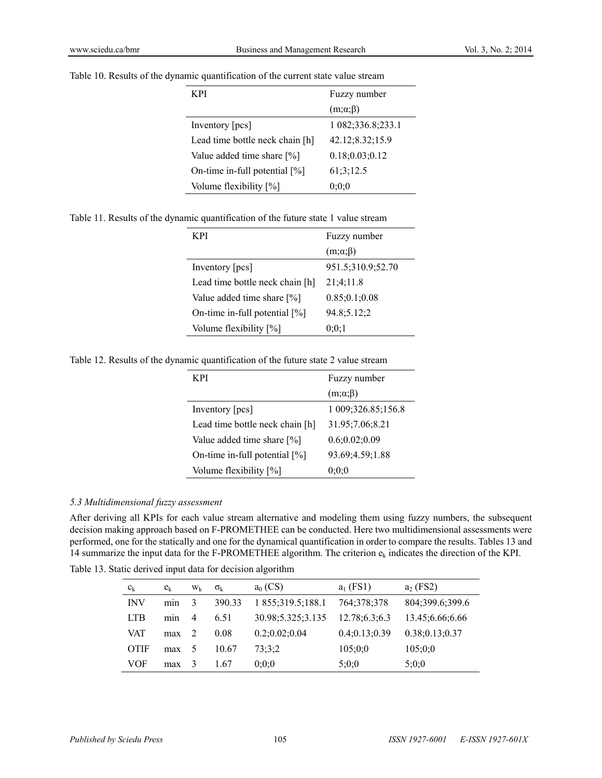# Table 10. Results of the dynamic quantification of the current state value stream

| KPI                              | Fuzzy number       |
|----------------------------------|--------------------|
|                                  | $(m;\alpha;\beta)$ |
| Inventory [pcs]                  | 1 082;336.8;233.1  |
| Lead time bottle neck chain [h]  | 42.12;8.32;15.9    |
| Value added time share [%]       | 0.18; 0.03; 0.12   |
| On-time in-full potential $[\%]$ | 61;3;12.5          |
| Volume flexibility [%]           | 0:0:0              |

Table 11. Results of the dynamic quantification of the future state 1 value stream

| KPI.                            | Fuzzy number       |  |  |
|---------------------------------|--------------------|--|--|
|                                 | $(m:\alpha:\beta)$ |  |  |
| Inventory [pcs]                 | 951.5;310.9;52.70  |  |  |
| Lead time bottle neck chain [h] | 21:4:11.8          |  |  |
| Value added time share $[%]$    | 0.85; 0.1; 0.08    |  |  |
| On-time in-full potential $[%]$ | 94.8;5.12;2        |  |  |
| Volume flexibility [%]          | 0:0:1              |  |  |

Table 12. Results of the dynamic quantification of the future state 2 value stream

| KPI.                            | Fuzzy number       |  |  |
|---------------------------------|--------------------|--|--|
|                                 | $(m;\alpha;\beta)$ |  |  |
| Inventory [pcs]                 | 1 009;326.85;156.8 |  |  |
| Lead time bottle neck chain [h] | 31.95;7.06;8.21    |  |  |
| Value added time share $[%]$    | 0.6; 0.02; 0.09    |  |  |
| On-time in-full potential $[%]$ | 93.69;4.59;1.88    |  |  |
| Volume flexibility [%]          | 0:0:0              |  |  |

#### *5.3 Multidimensional fuzzy assessment*

After deriving all KPIs for each value stream alternative and modeling them using fuzzy numbers, the subsequent decision making approach based on F-PROMETHEE can be conducted. Here two multidimensional assessments were performed, one for the statically and one for the dynamical quantification in order to compare the results. Tables 13 and 14 summarize the input data for the F-PROMETHEE algorithm. The criterion  $e_k$  indicates the direction of the KPI.

Table 13. Static derived input data for decision algorithm

| $c_{k}$     | $e_{k}$ | $\mathrm{W_{k}}$ | $\sigma_{\rm k}$ | $a_0$ (CS)        | $a_1$ (FS1)     | $a_2$ (FS2)      |
|-------------|---------|------------------|------------------|-------------------|-----------------|------------------|
| <b>INV</b>  | min     | 3                | 390.33           | 1 855;319.5;188.1 | 764;378;378     | 804;399.6;399.6  |
| <b>LTB</b>  | min     | 4                | 6.51             | 30.98;5.325;3.135 | 12.78;6.3;6.3   | 13.45;6.66;6.66  |
| VAT         | max     | $\overline{2}$   | 0.08             | 0.2; 0.02; 0.04   | 0.4; 0.13; 0.39 | 0.38; 0.13; 0.37 |
| <b>OTIF</b> | max     | 5                | 10.67            | 73;3;2            | 105;0;0         | 105;0;0          |
| VOF         | max     |                  | 1.67             | 0:0:0             | 5;0;0           | 5;0;0            |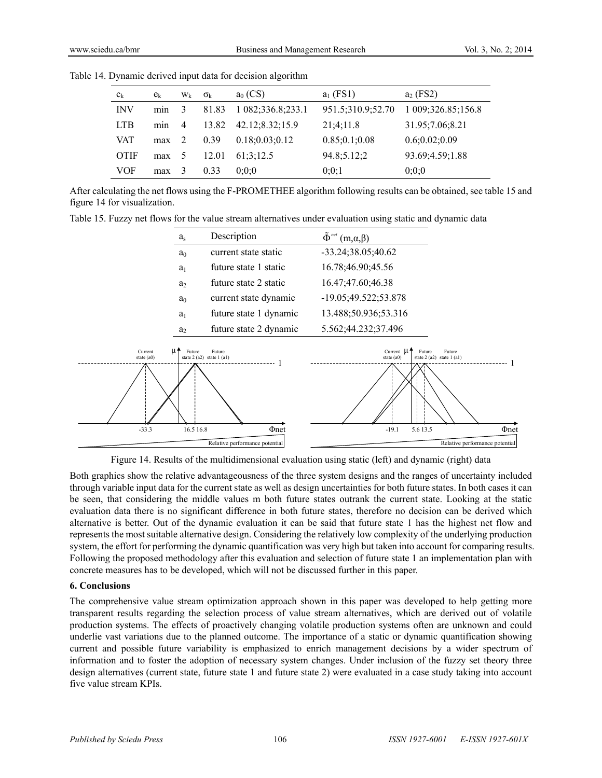| $c_{k}$     | $e_{k}$ | $W_k$          | $\sigma_{\rm k}$ | $a_0$ (CS)        | $a_1$ (FS1)       | $a_2$ (FS2)        |
|-------------|---------|----------------|------------------|-------------------|-------------------|--------------------|
| <b>INV</b>  | min     | 3              | 81.83            | 1 082;336.8;233.1 | 951.5;310.9;52.70 | 1 009;326.85;156.8 |
| <b>LTB</b>  | min     | $\overline{4}$ | 13.82            | 42.12;8.32;15.9   | 21;4;11.8         | 31.95;7.06;8.21    |
| <b>VAT</b>  | max     | 2              | 0.39             | 0.18; 0.03; 0.12  | 0.85; 0.1; 0.08   | 0.6; 0.02; 0.09    |
| <b>OTIF</b> | max     | 5              | 12.01            | 61:3:12.5         | 94.8;5.12;2       | 93.69;4.59;1.88    |
| <b>VOF</b>  | max     | $\mathcal{E}$  | 0.33             | 0:0:0             | 0;0;1             | 0;0;0              |

Table 14. Dynamic derived input data for decision algorithm

After calculating the net flows using the F-PROMETHEE algorithm following results can be obtained, see table 15 and figure 14 for visualization.

Table 15. Fuzzy net flows for the value stream alternatives under evaluation using static and dynamic data

|                         | a <sub>s</sub> | Description                           | $\tilde{\Phi}^{net}(m,\alpha,\beta)$                                                            |             |
|-------------------------|----------------|---------------------------------------|-------------------------------------------------------------------------------------------------|-------------|
|                         | a <sub>0</sub> | current state static                  | $-33.24;38.05;40.62$                                                                            |             |
|                         | a <sub>1</sub> | future state 1 static                 | 16.78;46.90;45.56                                                                               |             |
|                         | a <sub>2</sub> | future state 2 static                 | 16.47;47.60;46.38                                                                               |             |
|                         | a <sub>0</sub> | current state dynamic                 | -19.05;49.522;53.878                                                                            |             |
|                         | a <sub>1</sub> | future state 1 dynamic                | 13.488;50.936;53.316                                                                            |             |
|                         | $a_2$          | future state 2 dynamic                | 5.562;44.232;37.496                                                                             |             |
| Current<br>state $(a0)$ | Future         | Future<br>state $2(a2)$ state $1(a1)$ | Current $\mu$ <sup>1</sup><br>Future<br>Future<br>state $(a0)$<br>state $2$ (a2) state $1$ (a1) |             |
|                         |                |                                       |                                                                                                 |             |
| $-33.3$                 | 16.5 16.8      | <b>Onet</b>                           | $-19.1$<br>5.6 13.5                                                                             | <b>Onet</b> |
|                         |                | Relative performance potential        | Relative performance potential                                                                  |             |

Figure 14. Results of the multidimensional evaluation using static (left) and dynamic (right) data

Both graphics show the relative advantageousness of the three system designs and the ranges of uncertainty included through variable input data for the current state as well as design uncertainties for both future states. In both cases it can be seen, that considering the middle values m both future states outrank the current state. Looking at the static evaluation data there is no significant difference in both future states, therefore no decision can be derived which alternative is better. Out of the dynamic evaluation it can be said that future state 1 has the highest net flow and represents the most suitable alternative design. Considering the relatively low complexity of the underlying production system, the effort for performing the dynamic quantification was very high but taken into account for comparing results. Following the proposed methodology after this evaluation and selection of future state 1 an implementation plan with concrete measures has to be developed, which will not be discussed further in this paper.

# **6. Conclusions**

The comprehensive value stream optimization approach shown in this paper was developed to help getting more transparent results regarding the selection process of value stream alternatives, which are derived out of volatile production systems. The effects of proactively changing volatile production systems often are unknown and could underlie vast variations due to the planned outcome. The importance of a static or dynamic quantification showing current and possible future variability is emphasized to enrich management decisions by a wider spectrum of information and to foster the adoption of necessary system changes. Under inclusion of the fuzzy set theory three design alternatives (current state, future state 1 and future state 2) were evaluated in a case study taking into account five value stream KPIs.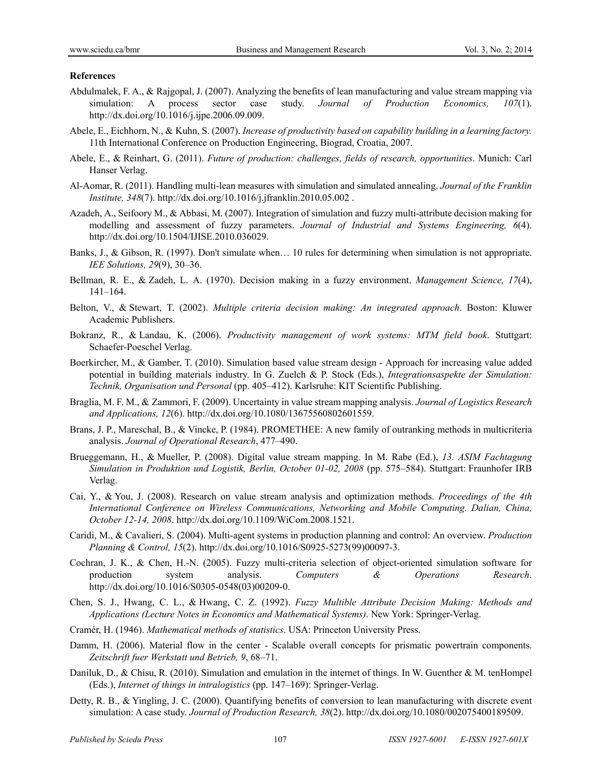#### **References**

- Abdulmalek, F. A., & Rajgopal, J. (2007). Analyzing the benefits of lean manufacturing and value stream mapping via simulation: A process sector case study. *Journal of Production Economics, 107*(1). http://dx.doi.org/10.1016/j.ijpe.2006.09.009.
- Abele, E., Eichhorn, N., & Kuhn, S. (2007). *Increase of productivity based on capability building in a learning factory.*  11th International Conference on Production Engineering, Biograd, Croatia, 2007.
- Abele, E., & Reinhart, G. (2011). *Future of production: challenges, fields of research, opportunities*. Munich: Carl Hanser Verlag.
- Al-Aomar, R. (2011). Handling multi-lean measures with simulation and simulated annealing. *Journal of the Franklin Institute, 348*(7). http://dx.doi.org/10.1016/j.jfranklin.2010.05.002 .
- Azadeh, A., Seifoory M., & Abbasi, M. (2007). Integration of simulation and fuzzy multi-attribute decision making for modelling and assessment of fuzzy parameters. *Journal of Industrial and Systems Engineering, 6*(4). http://dx.doi.org/10.1504/IJISE.2010.036029.
- Banks, J., & Gibson, R. (1997). Don't simulate when… 10 rules for determining when simulation is not appropriate. *IEE Solutions, 29*(9), 30–36.
- Bellman, R. E., & Zadeh, L. A. (1970). Decision making in a fuzzy environment. *Management Science, 17*(4), 141–164.
- Belton, V., & Stewart, T. (2002). *Multiple criteria decision making: An integrated approach*. Boston: Kluwer Academic Publishers.
- Bokranz, R., & Landau, K. (2006). *Productivity management of work systems: MTM field book*. Stuttgart: Schaefer-Poeschel Verlag.
- Boerkircher, M., & Gamber, T. (2010). Simulation based value stream design Approach for increasing value added potential in building materials industry. In G. Zuelch & P. Stock (Eds.), *Integrationsaspekte der Simulation: Technik, Organisation und Personal* (pp. 405–412). Karlsruhe: KIT Scientific Publishing.
- Braglia, M. F. M., & Zammori, F. (2009). Uncertainty in value stream mapping analysis. *Journal of Logistics Research and Applications, 12*(6). http://dx.doi.org/10.1080/13675560802601559.
- Brans, J. P., Mareschal, B., & Vincke, P. (1984). PROMETHEE: A new family of outranking methods in multicriteria analysis. *Journal of Operational Research*, 477–490.
- Brueggemann, H., & Mueller, P. (2008). Digital value stream mapping. In M. Rabe (Ed.), *13. ASIM Fachtagung Simulation in Produktion und Logistik, Berlin, October 01-02, 2008* (pp. 575–584). Stuttgart: Fraunhofer IRB Verlag.
- Cai, Y., & You, J. (2008). Research on value stream analysis and optimization methods. *Proceedings of the 4th International Conference on Wireless Communications, Networking and Mobile Computing. Dalian, China, October 12-14, 2008*. http://dx.doi.org/10.1109/WiCom.2008.1521.
- Caridi, M., & Cavalieri, S. (2004). Multi-agent systems in production planning and control: An overview. *Production Planning & Control, 15*(2). http://dx.doi.org/10.1016/S0925-5273(99)00097-3.
- Cochran, J. K., & Chen, H.-N. (2005). Fuzzy multi-criteria selection of object-oriented simulation software for production system analysis. *Computers & Operations Research*. http://dx.doi.org/10.1016/S0305-0548(03)00209-0.
- Chen, S. J., Hwang, C. L., & Hwang, C. Z. (1992). *Fuzzy Multible Attribute Decision Making: Methods and Applications (Lecture Notes in Economics and Mathematical Systems)*. New York: Springer-Verlag.
- Cramér, H. (1946). *Mathematical methods of statistics*. USA: Princeton University Press.
- Damm, H. (2006). Material flow in the center Scalable overall concepts for prismatic powertrain components. *Zeitschrift fuer Werkstatt und Betrieb, 9*, 68–71.
- Daniluk, D., & Chisu, R. (2010). Simulation and emulation in the internet of things. In W. Guenther & M. tenHompel (Eds.), *Internet of things in intralogistics* (pp. 147–169): Springer-Verlag.
- Detty, R. B., & Yingling, J. C. (2000). Quantifying benefits of conversion to lean manufacturing with discrete event simulation: A case study. *Journal of Production Research, 38*(2). http://dx.doi.org/10.1080/002075400189509.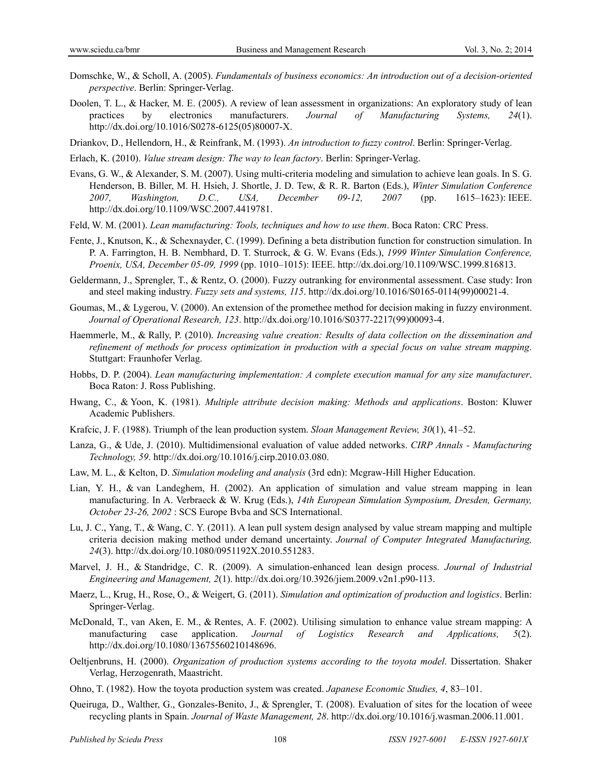- Domschke, W., & Scholl, A. (2005). *Fundamentals of business economics: An introduction out of a decision-oriented perspective*. Berlin: Springer-Verlag.
- Doolen, T. L., & Hacker, M. E. (2005). A review of lean assessment in organizations: An exploratory study of lean practices by electronics manufacturers. *Journal of Manufacturing Systems, 24*(1). http://dx.doi.org/10.1016/S0278-6125(05)80007-X.
- Driankov, D., Hellendorn, H., & Reinfrank, M. (1993). *An introduction to fuzzy control*. Berlin: Springer-Verlag.

Erlach, K. (2010). *Value stream design: The way to lean factory*. Berlin: Springer-Verlag.

- Evans, G. W., & Alexander, S. M. (2007). Using multi-criteria modeling and simulation to achieve lean goals. In S. G. Henderson, B. Biller, M. H. Hsieh, J. Shortle, J. D. Tew, & R. R. Barton (Eds.), *Winter Simulation Conference 2007, Washington, D.C., USA, December 09-12, 2007* (pp. 1615–1623): IEEE. http://dx.doi.org/10.1109/WSC.2007.4419781.
- Feld, W. M. (2001). *Lean manufacturing: Tools, techniques and how to use them*. Boca Raton: CRC Press.
- Fente, J., Knutson, K., & Schexnayder, C. (1999). Defining a beta distribution function for construction simulation. In P. A. Farrington, H. B. Nembhard, D. T. Sturrock, & G. W. Evans (Eds.), *1999 Winter Simulation Conference, Proenix, USA, December 05-09, 1999* (pp. 1010–1015): IEEE. http://dx.doi.org/10.1109/WSC.1999.816813.
- Geldermann, J., Sprengler, T., & Rentz, O. (2000). Fuzzy outranking for environmental assessment. Case study: Iron and steel making industry. *Fuzzy sets and systems, 115*. http://dx.doi.org/10.1016/S0165-0114(99)00021-4.
- Goumas, M., & Lygerou, V. (2000). An extension of the promethee method for decision making in fuzzy environment. *Journal of Operational Research, 123*. http://dx.doi.org/10.1016/S0377-2217(99)00093-4.
- Haemmerle, M., & Rally, P. (2010). *Increasing value creation: Results of data collection on the dissemination and refinement of methods for process optimization in production with a special focus on value stream mapping*. Stuttgart: Fraunhofer Verlag.
- Hobbs, D. P. (2004). *Lean manufacturing implementation: A complete execution manual for any size manufacturer*. Boca Raton: J. Ross Publishing.
- Hwang, C., & Yoon, K. (1981). *Multiple attribute decision making: Methods and applications*. Boston: Kluwer Academic Publishers.
- Krafcic, J. F. (1988). Triumph of the lean production system. *Sloan Management Review, 30*(1), 41–52.
- Lanza, G., & Ude, J. (2010). Multidimensional evaluation of value added networks. *CIRP Annals Manufacturing Technology, 59*. http://dx.doi.org/10.1016/j.cirp.2010.03.080.
- Law, M. L., & Kelton, D. *Simulation modeling and analysis* (3rd edn): Mcgraw-Hill Higher Education.
- Lian, Y. H., & van Landeghem, H. (2002). An application of simulation and value stream mapping in lean manufacturing. In A. Verbraeck & W. Krug (Eds.), *14th European Simulation Symposium, Dresden, Germany, October 23-26, 2002* : SCS Europe Bvba and SCS International.
- Lu, J. C., Yang, T., & Wang, C. Y. (2011). A lean pull system design analysed by value stream mapping and multiple criteria decision making method under demand uncertainty. *Journal of Computer Integrated Manufacturing, 24*(3). http://dx.doi.org/10.1080/0951192X.2010.551283.
- Marvel, J. H., & Standridge, C. R. (2009). A simulation-enhanced lean design process. *Journal of Industrial Engineering and Management, 2*(1). http://dx.doi.org/10.3926/jiem.2009.v2n1.p90-113.
- Maerz, L., Krug, H., Rose, O., & Weigert, G. (2011). *Simulation and optimization of production and logistics*. Berlin: Springer-Verlag.
- McDonald, T., van Aken, E. M., & Rentes, A. F. (2002). Utilising simulation to enhance value stream mapping: A manufacturing case application. *Journal of Logistics Research and Applications, 5*(2). http://dx.doi.org/10.1080/13675560210148696.
- Oeltjenbruns, H. (2000). *Organization of production systems according to the toyota model*. Dissertation. Shaker Verlag, Herzogenrath, Maastricht.
- Ohno, T. (1982). How the toyota production system was created. *Japanese Economic Studies, 4*, 83–101.
- Queiruga, D., Walther, G., Gonzales-Benito, J., & Sprengler, T. (2008). Evaluation of sites for the location of weee recycling plants in Spain. *Journal of Waste Management, 28*. http://dx.doi.org/10.1016/j.wasman.2006.11.001.